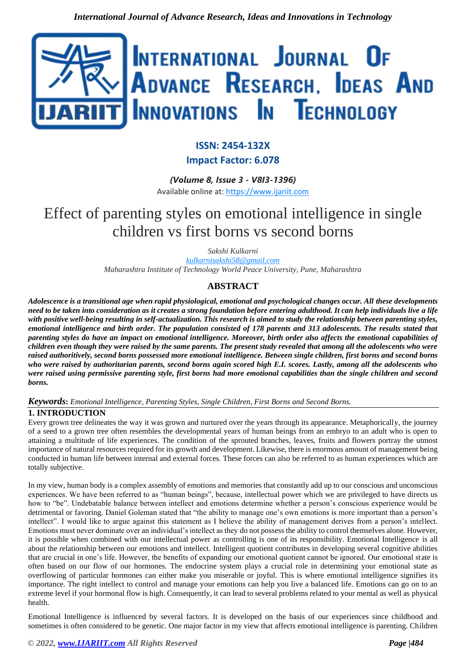

# **ISSN: 2454-132X**

**Impact Factor: 6.078**

*(Volume 8, Issue 3 - V8I3-1396)* Available online at: [https://www.ijariit.com](https://www.ijariit.com/?utm_source=pdf&utm_medium=edition&utm_campaign=OmAkSols&utm_term=V8I3-1396)

## Effect of parenting styles on emotional intelligence in single children vs first borns vs second borns

*Sakshi Kulkarni [kulkarnisakshi58@gmail.com](mailto:kulkarnisakshi58@gmail.com) Maharashtra Institute of Technology World Peace University, Pune, Maharashtra*

## **ABSTRACT**

*Adolescence is a transitional age when rapid physiological, emotional and psychological changes occur. All these developments need to be taken into consideration as it creates a strong foundation before entering adulthood. It can help individuals live a life with positive well-being resulting in self-actualization. This research is aimed to study the relationship between parenting styles, emotional intelligence and birth order. The population consisted of 178 parents and 313 adolescents. The results stated that parenting styles do have an impact on emotional intelligence. Moreover, birth order also affects the emotional capabilities of children even though they were raised by the same parents. The present study revealed that among all the adolescents who were raised authoritively, second borns possessed more emotional intelligence. Between single children, first borns and second borns who were raised by authoritarian parents, second borns again scored high E.I. scores. Lastly, among all the adolescents who were raised using permissive parenting style, first borns had more emotional capabilities than the single children and second borns.*

## *Keywords***:** *Emotional Intelligence, Parenting Styles, Single Children, First Borns and Second Borns.*

## **1. INTRODUCTION**

Every grown tree delineates the way it was grown and nurtured over the years through its appearance. Metaphorically, the journey of a seed to a grown tree often resembles the developmental years of human beings from an embryo to an adult who is open to attaining a multitude of life experiences. The condition of the sprouted branches, leaves, fruits and flowers portray the utmost importance of natural resources required for its growth and development. Likewise, there is enormous amount of management being conducted in human life between internal and external forces. These forces can also be referred to as human experiences which are totally subjective.

In my view, human body is a complex assembly of emotions and memories that constantly add up to our conscious and unconscious experiences. We have been referred to as "human beings", because, intellectual power which we are privileged to have directs us how to "be". Undebatable balance between intellect and emotions determine whether a person's conscious experience would be detrimental or favoring. Daniel Goleman stated that "the ability to manage one's own emotions is more important than a person's intellect". I would like to argue against this statement as I believe the ability of management derives from a person's intellect. Emotions must never dominate over an individual's intellect as they do not possess the ability to control themselves alone. However, it is possible when combined with our intellectual power as controlling is one of its responsibility. Emotional Intelligence is all about the relationship between our emotions and intellect. Intelligent quotient contributes in developing several cognitive abilities that are crucial in one's life. However, the benefits of expanding our emotional quotient cannot be ignored. Our emotional state is often based on our flow of our hormones. The endocrine system plays a crucial role in determining your emotional state as overflowing of particular hormones can either make you miserable or joyful. This is where emotional intelligence signifies its importance. The right intellect to control and manage your emotions can help you live a balanced life. Emotions can go on to an extreme level if your hormonal flow is high. Consequently, it can lead to several problems related to your mental as well as physical health.

Emotional Intelligence is influenced by several factors. It is developed on the basis of our experiences since childhood and sometimes is often considered to be genetic. One major factor in my view that affects emotional intelligence is parenting. Children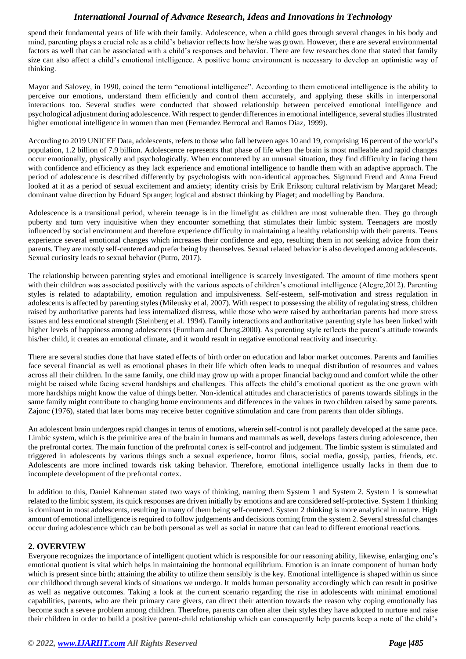spend their fundamental years of life with their family. Adolescence, when a child goes through several changes in his body and mind, parenting plays a crucial role as a child's behavior reflects how he/she was grown. However, there are several environmental factors as well that can be associated with a child's responses and behavior. There are few researches done that stated that family size can also affect a child's emotional intelligence. A positive home environment is necessary to develop an optimistic way of thinking.

Mayor and Salovey, in 1990, coined the term "emotional intelligence". According to them emotional intelligence is the ability to perceive our emotions, understand them efficiently and control them accurately, and applying these skills in interpersonal interactions too. Several studies were conducted that showed relationship between perceived emotional intelligence and psychological adjustment during adolescence. With respect to gender differences in emotional intelligence, several studies illustrated higher emotional intelligence in women than men (Fernandez Berrocal and Ramos Diaz, 1999).

According to 2019 UNICEF Data, adolescents, refers to those who fall between ages 10 and 19, comprising 16 percent of the world's population, 1.2 billion of 7.9 billion. Adolescence represents that phase of life when the brain is most malleable and rapid changes occur emotionally, physically and psychologically. When encountered by an unusual situation, they find difficulty in facing them with confidence and efficiency as they lack experience and emotional intelligence to handle them with an adaptive approach. The period of adolescence is described differently by psychologists with non-identical approaches. Sigmund Freud and Anna Freud looked at it as a period of sexual excitement and anxiety; identity crisis by Erik Erikson; cultural relativism by Margaret Mead; dominant value direction by Eduard Spranger; logical and abstract thinking by Piaget; and modelling by Bandura.

Adolescence is a transitional period, wherein teenage is in the limelight as children are most vulnerable then. They go through puberty and turn very inquisitive when they encounter something that stimulates their limbic system. Teenagers are mostly influenced by social environment and therefore experience difficulty in maintaining a healthy relationship with their parents. Teens experience several emotional changes which increases their confidence and ego, resulting them in not seeking advice from their parents. They are mostly self-centered and prefer being by themselves. Sexual related behavior is also developed among adolescents. Sexual curiosity leads to sexual behavior (Putro, 2017).

The relationship between parenting styles and emotional intelligence is scarcely investigated. The amount of time mothers spent with their children was associated positively with the various aspects of children's emotional intelligence (Alegre,2012). Parenting styles is related to adaptability, emotion regulation and impulsiveness. Self-esteem, self-motivation and stress regulation in adolescents is affected by parenting styles (Mileusky et al, 2007). With respect to possessing the ability of regulating stress, children raised by authoritative parents had less internalized distress, while those who were raised by authoritarian parents had more stress issues and less emotional strength (Steinberg et al. 1994). Family interactions and authoritative parenting style has been linked with higher levels of happiness among adolescents (Furnham and Cheng.2000). As parenting style reflects the parent's attitude towards his/her child, it creates an emotional climate, and it would result in negative emotional reactivity and insecurity.

There are several studies done that have stated effects of birth order on education and labor market outcomes. Parents and families face several financial as well as emotional phases in their life which often leads to unequal distribution of resources and values across all their children. In the same family, one child may grow up with a proper financial background and comfort while the other might be raised while facing several hardships and challenges. This affects the child's emotional quotient as the one grown with more hardships might know the value of things better. Non-identical attitudes and characteristics of parents towards siblings in the same family might contribute to changing home environments and differences in the values in two children raised by same parents. Zajonc (1976), stated that later borns may receive better cognitive stimulation and care from parents than older siblings.

An adolescent brain undergoes rapid changes in terms of emotions, wherein self-control is not parallely developed at the same pace. Limbic system, which is the primitive area of the brain in humans and mammals as well, develops fasters during adolescence, then the prefrontal cortex. The main function of the prefrontal cortex is self-control and judgement. The limbic system is stimulated and triggered in adolescents by various things such a sexual experience, horror films, social media, gossip, parties, friends, etc. Adolescents are more inclined towards risk taking behavior. Therefore, emotional intelligence usually lacks in them due to incomplete development of the prefrontal cortex.

In addition to this, Daniel Kahneman stated two ways of thinking, naming them System 1 and System 2. System 1 is somewhat related to the limbic system, its quick responses are driven initially by emotions and are considered self-protective. System 1 thinking is dominant in most adolescents, resulting in many of them being self-centered. System 2 thinking is more analytical in nature. High amount of emotional intelligence is required to follow judgements and decisions coming from the system 2. Several stressful changes occur during adolescence which can be both personal as well as social in nature that can lead to different emotional reactions.

## **2. OVERVIEW**

Everyone recognizes the importance of intelligent quotient which is responsible for our reasoning ability, likewise, enlarging one's emotional quotient is vital which helps in maintaining the hormonal equilibrium. Emotion is an innate component of human body which is present since birth; attaining the ability to utilize them sensibly is the key. Emotional intelligence is shaped within us since our childhood through several kinds of situations we undergo. It molds human personality accordingly which can result in positive as well as negative outcomes. Taking a look at the current scenario regarding the rise in adolescents with minimal emotional capabilities, parents, who are their primary care givers, can direct their attention towards the reason why coping emotionally has become such a severe problem among children. Therefore, parents can often alter their styles they have adopted to nurture and raise their children in order to build a positive parent-child relationship which can consequently help parents keep a note of the child's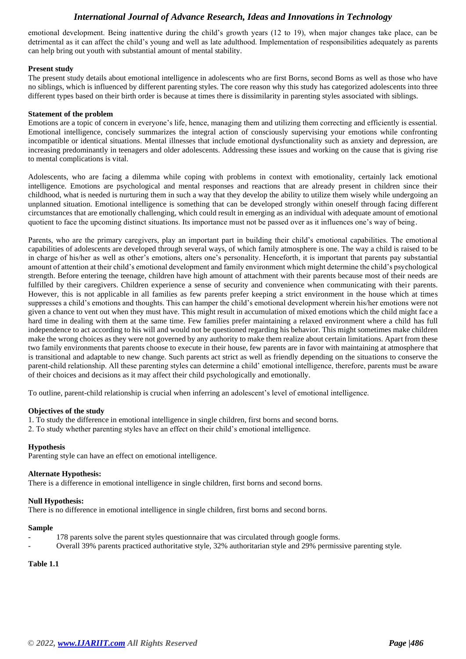emotional development. Being inattentive during the child's growth years (12 to 19), when major changes take place, can be detrimental as it can affect the child's young and well as late adulthood. Implementation of responsibilities adequately as parents can help bring out youth with substantial amount of mental stability.

#### **Present study**

The present study details about emotional intelligence in adolescents who are first Borns, second Borns as well as those who have no siblings, which is influenced by different parenting styles. The core reason why this study has categorized adolescents into three different types based on their birth order is because at times there is dissimilarity in parenting styles associated with siblings.

#### **Statement of the problem**

Emotions are a topic of concern in everyone's life, hence, managing them and utilizing them correcting and efficiently is essential. Emotional intelligence, concisely summarizes the integral action of consciously supervising your emotions while confronting incompatible or identical situations. Mental illnesses that include emotional dysfunctionality such as anxiety and depression, are increasing predominantly in teenagers and older adolescents. Addressing these issues and working on the cause that is giving rise to mental complications is vital.

Adolescents, who are facing a dilemma while coping with problems in context with emotionality, certainly lack emotional intelligence. Emotions are psychological and mental responses and reactions that are already present in children since their childhood, what is needed is nurturing them in such a way that they develop the ability to utilize them wisely while undergoing an unplanned situation. Emotional intelligence is something that can be developed strongly within oneself through facing different circumstances that are emotionally challenging, which could result in emerging as an individual with adequate amount of emotional quotient to face the upcoming distinct situations. Its importance must not be passed over as it influences one's way of being.

Parents, who are the primary caregivers, play an important part in building their child's emotional capabilities. The emotional capabilities of adolescents are developed through several ways, of which family atmosphere is one. The way a child is raised to be in charge of his/her as well as other's emotions, alters one's personality. Henceforth, it is important that parents pay substantial amount of attention at their child's emotional development and family environment which might determine the child's psychological strength. Before entering the teenage, children have high amount of attachment with their parents because most of their needs are fulfilled by their caregivers. Children experience a sense of security and convenience when communicating with their parents. However, this is not applicable in all families as few parents prefer keeping a strict environment in the house which at times suppresses a child's emotions and thoughts. This can hamper the child's emotional development wherein his/her emotions were not given a chance to vent out when they must have. This might result in accumulation of mixed emotions which the child might face a hard time in dealing with them at the same time. Few families prefer maintaining a relaxed environment where a child has full independence to act according to his will and would not be questioned regarding his behavior. This might sometimes make children make the wrong choices as they were not governed by any authority to make them realize about certain limitations. Apart from these two family environments that parents choose to execute in their house, few parents are in favor with maintaining at atmosphere that is transitional and adaptable to new change. Such parents act strict as well as friendly depending on the situations to conserve the parent-child relationship. All these parenting styles can determine a child' emotional intelligence, therefore, parents must be aware of their choices and decisions as it may affect their child psychologically and emotionally.

To outline, parent-child relationship is crucial when inferring an adolescent's level of emotional intelligence.

#### **Objectives of the study**

1. To study the difference in emotional intelligence in single children, first borns and second borns.

2. To study whether parenting styles have an effect on their child's emotional intelligence.

#### **Hypothesis**

Parenting style can have an effect on emotional intelligence.

#### **Alternate Hypothesis:**

There is a difference in emotional intelligence in single children, first borns and second borns.

#### **Null Hypothesis:**

There is no difference in emotional intelligence in single children, first borns and second borns.

#### **Sample**

- 178 parents solve the parent styles questionnaire that was circulated through google forms.
- Overall 39% parents practiced authoritative style, 32% authoritarian style and 29% permissive parenting style.

#### **Table 1.1**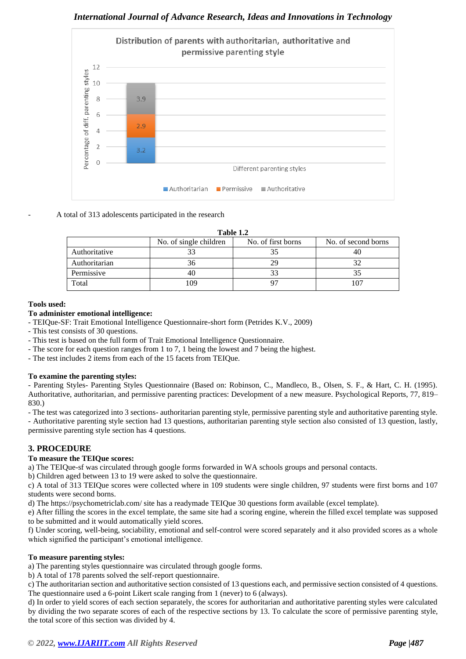

A total of 313 adolescents participated in the research

| Table 1.2     |                        |                    |                     |
|---------------|------------------------|--------------------|---------------------|
|               | No. of single children | No. of first borns | No. of second borns |
| Authoritative |                        |                    |                     |
| Authoritarian | 36                     | 29                 |                     |
| Permissive    |                        | 33                 |                     |
| Total         | 109                    | 97                 |                     |

#### **Tools used:**

## **To administer emotional intelligence:**

- TEIQue-SF: Trait Emotional Intelligence Questionnaire-short form (Petrides K.V., 2009)

- This test consists of 30 questions.

- This test is based on the full form of Trait Emotional Intelligence Questionnaire.
- The score for each question ranges from 1 to 7, 1 being the lowest and 7 being the highest.
- The test includes 2 items from each of the 15 facets from TEIQue.

#### **To examine the parenting styles:**

- Parenting Styles- Parenting Styles Questionnaire (Based on: Robinson, C., Mandleco, B., Olsen, S. F., & Hart, C. H. (1995). Authoritative, authoritarian, and permissive parenting practices: Development of a new measure. Psychological Reports, 77, 819– 830.)

- The test was categorized into 3 sections- authoritarian parenting style, permissive parenting style and authoritative parenting style.

- Authoritative parenting style section had 13 questions, authoritarian parenting style section also consisted of 13 question, lastly, permissive parenting style section has 4 questions.

## **3. PROCEDURE**

#### **To measure the TEIQue scores:**

a) The TEIQue-sf was circulated through google forms forwarded in WA schools groups and personal contacts.

b) Children aged between 13 to 19 were asked to solve the questionnaire.

c) A total of 313 TEIQue scores were collected where in 109 students were single children, 97 students were first borns and 107 students were second borns.

d) The https://psychometriclab.com/ site has a readymade TEIQue 30 questions form available (excel template).

e) After filling the scores in the excel template, the same site had a scoring engine, wherein the filled excel template was supposed to be submitted and it would automatically yield scores.

f) Under scoring, well-being, sociability, emotional and self-control were scored separately and it also provided scores as a whole which signified the participant's emotional intelligence.

#### **To measure parenting styles:**

a) The parenting styles questionnaire was circulated through google forms.

b) A total of 178 parents solved the self-report questionnaire.

c) The authoritarian section and authoritative section consisted of 13 questions each, and permissive section consisted of 4 questions. The questionnaire used a 6-point Likert scale ranging from 1 (never) to 6 (always).

d) In order to yield scores of each section separately, the scores for authoritarian and authoritative parenting styles were calculated by dividing the two separate scores of each of the respective sections by 13. To calculate the score of permissive parenting style, the total score of this section was divided by 4.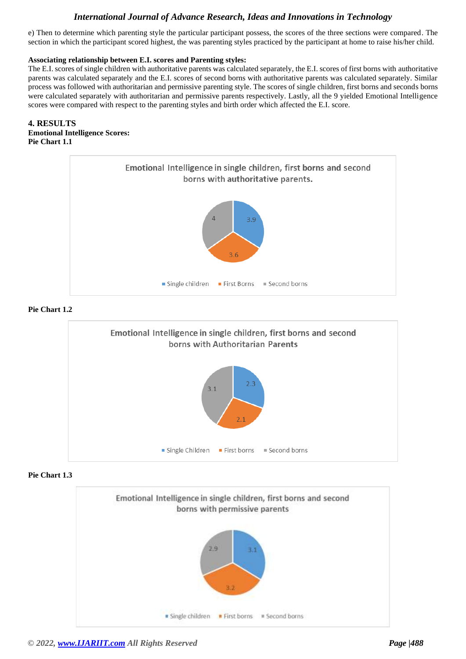e) Then to determine which parenting style the particular participant possess, the scores of the three sections were compared. The section in which the participant scored highest, the was parenting styles practiced by the participant at home to raise his/her child.

## **Associating relationship between E.I. scores and Parenting styles:**

The E.I. scores of single children with authoritative parents was calculated separately, the E.I. scores of first borns with authoritative parents was calculated separately and the E.I. scores of second borns with authoritative parents was calculated separately. Similar process was followed with authoritarian and permissive parenting style. The scores of single children, first borns and seconds borns were calculated separately with authoritarian and permissive parents respectively. Lastly, all the 9 yielded Emotional Intelligence scores were compared with respect to the parenting styles and birth order which affected the E.I. score.

#### **4. RESULTS Emotional Intelligence Scores: Pie Chart 1.1**



#### **Pie Chart 1.2**



## **Pie Chart 1.3**

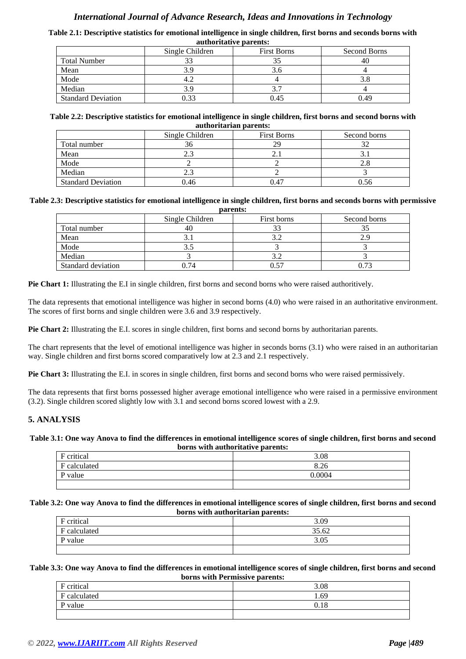| Table 2.1: Descriptive statistics for emotional intelligence in single children, first borns and seconds borns with |  |
|---------------------------------------------------------------------------------------------------------------------|--|
| authoritative parents:                                                                                              |  |

|                           | Single Children | <b>First Borns</b> | Second Borns |
|---------------------------|-----------------|--------------------|--------------|
| <b>Total Number</b>       | 33              |                    | 40           |
| Mean                      | 3.9             |                    |              |
| Mode                      | 4.2             |                    |              |
| Median                    | 3.9             |                    |              |
| <b>Standard Deviation</b> | 0.33            | 0.45               | 0.49         |

#### **Table 2.2: Descriptive statistics for emotional intelligence in single children, first borns and second borns with authoritarian parents:**

|                           | Single Children | <b>First Borns</b> | Second borns |
|---------------------------|-----------------|--------------------|--------------|
| Total number              | CC              | 29                 |              |
| Mean                      | 2.3             | ۷.                 |              |
| Mode                      |                 |                    |              |
| Median                    | 2.3             |                    |              |
| <b>Standard Deviation</b> | 0.46            | 0.47               | 9.56         |

#### **Table 2.3: Descriptive statistics for emotional intelligence in single children, first borns and seconds borns with permissive parents:**

| wux viiws          |                 |             |              |
|--------------------|-----------------|-------------|--------------|
|                    | Single Children | First borns | Second borns |
| Total number       | 40              |             |              |
| Mean               |                 |             | 2.9          |
| Mode               |                 |             |              |
| Median             |                 |             |              |
| Standard deviation | 1.74            | 0.57        | በ 73         |

**Pie Chart 1:** Illustrating the E.I in single children, first borns and second borns who were raised authoritively.

The data represents that emotional intelligence was higher in second borns (4.0) who were raised in an authoritative environment. The scores of first borns and single children were 3.6 and 3.9 respectively.

**Pie Chart 2:** Illustrating the E.I. scores in single children, first borns and second borns by authoritarian parents.

The chart represents that the level of emotional intelligence was higher in seconds borns (3.1) who were raised in an authoritarian way. Single children and first borns scored comparatively low at 2.3 and 2.1 respectively.

**Pie Chart 3:** Illustrating the E.I. in scores in single children, first borns and second borns who were raised permissively.

The data represents that first borns possessed higher average emotional intelligence who were raised in a permissive environment (3.2). Single children scored slightly low with 3.1 and second borns scored lowest with a 2.9.

## **5. ANALYSIS**

**Table 3.1: One way Anova to find the differences in emotional intelligence scores of single children, first borns and second borns with authoritative parents:**

| F critical   | 3.08   |
|--------------|--------|
| F calculated | 8.26   |
| P value      | 0.0004 |
|              |        |

**Table 3.2: One way Anova to find the differences in emotional intelligence scores of single children, first borns and second borns with authoritarian parents:**

| F critical   | 3.09  |
|--------------|-------|
| F calculated | 35.62 |
| P value      | 3.05  |
|              |       |

#### **Table 3.3: One way Anova to find the differences in emotional intelligence scores of single children, first borns and second borns with Permissive parents:**

| F critical   | 3.08 |
|--------------|------|
| F calculated | 1.69 |
| P value      | 0.18 |
|              |      |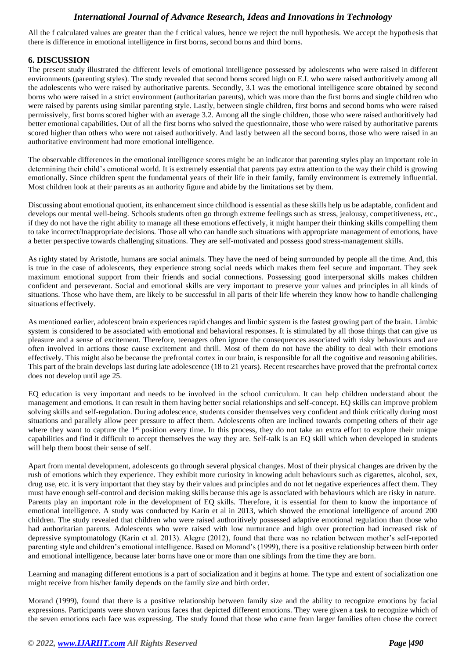All the f calculated values are greater than the f critical values, hence we reject the null hypothesis. We accept the hypothesis that there is difference in emotional intelligence in first borns, second borns and third borns.

## **6. DISCUSSION**

The present study illustrated the different levels of emotional intelligence possessed by adolescents who were raised in different environments (parenting styles). The study revealed that second borns scored high on E.I. who were raised authoritively among all the adolescents who were raised by authoritative parents. Secondly, 3.1 was the emotional intelligence score obtained by second borns who were raised in a strict environment (authoritarian parents), which was more than the first borns and single children who were raised by parents using similar parenting style. Lastly, between single children, first borns and second borns who were raised permissively, first borns scored higher with an average 3.2. Among all the single children, those who were raised authoritively had better emotional capabilities. Out of all the first borns who solved the questionnaire, those who were raised by authoritative parents scored higher than others who were not raised authoritively. And lastly between all the second borns, those who were raised in an authoritative environment had more emotional intelligence.

The observable differences in the emotional intelligence scores might be an indicator that parenting styles play an important role in determining their child's emotional world. It is extremely essential that parents pay extra attention to the way their child is growing emotionally. Since children spent the fundamental years of their life in their family, family environment is extremely influential. Most children look at their parents as an authority figure and abide by the limitations set by them.

Discussing about emotional quotient, its enhancement since childhood is essential as these skills help us be adaptable, confident and develops our mental well-being. Schools students often go through extreme feelings such as stress, jealousy, competitiveness, etc., if they do not have the right ability to manage all these emotions effectively, it might hamper their thinking skills compelling them to take incorrect/Inappropriate decisions. Those all who can handle such situations with appropriate management of emotions, have a better perspective towards challenging situations. They are self-motivated and possess good stress-management skills.

As righty stated by Aristotle, humans are social animals. They have the need of being surrounded by people all the time. And, this is true in the case of adolescents, they experience strong social needs which makes them feel secure and important. They seek maximum emotional support from their friends and social connections. Possessing good interpersonal skills makes children confident and perseverant. Social and emotional skills are very important to preserve your values and principles in all kinds of situations. Those who have them, are likely to be successful in all parts of their life wherein they know how to handle challenging situations effectively.

As mentioned earlier, adolescent brain experiences rapid changes and limbic system is the fastest growing part of the brain. Limbic system is considered to be associated with emotional and behavioral responses. It is stimulated by all those things that can give us pleasure and a sense of excitement. Therefore, teenagers often ignore the consequences associated with risky behaviours and are often involved in actions those cause excitement and thrill. Most of them do not have the ability to deal with their emotions effectively. This might also be because the prefrontal cortex in our brain, is responsible for all the cognitive and reasoning abilities. This part of the brain develops last during late adolescence (18 to 21 years). Recent researches have proved that the prefrontal cortex does not develop until age 25.

EQ education is very important and needs to be involved in the school curriculum. It can help children understand about the management and emotions. It can result in them having better social relationships and self-concept. EQ skills can improve problem solving skills and self-regulation. During adolescence, students consider themselves very confident and think critically during most situations and parallely allow peer pressure to affect them. Adolescents often are inclined towards competing others of their age where they want to capture the 1<sup>st</sup> position every time. In this process, they do not take an extra effort to explore their unique capabilities and find it difficult to accept themselves the way they are. Self-talk is an EQ skill which when developed in students will help them boost their sense of self.

Apart from mental development, adolescents go through several physical changes. Most of their physical changes are driven by the rush of emotions which they experience. They exhibit more curiosity in knowing adult behaviours such as cigarettes, alcohol, sex, drug use, etc. it is very important that they stay by their values and principles and do not let negative experiences affect them. They must have enough self-control and decision making skills because this age is associated with behaviours which are risky in nature. Parents play an important role in the development of EQ skills. Therefore, it is essential for them to know the importance of emotional intelligence. A study was conducted by Karin et al in 2013, which showed the emotional intelligence of around 200 children. The study revealed that children who were raised authoritively possessed adaptive emotional regulation than those who had authoritarian parents. Adolescents who were raised with low nurturance and high over protection had increased risk of depressive symptomatology (Karin et al. 2013). Alegre (2012), found that there was no relation between mother's self-reported parenting style and children's emotional intelligence. Based on Morand's (1999), there is a positive relationship between birth order and emotional intelligence, because later borns have one or more than one siblings from the time they are born.

Learning and managing different emotions is a part of socialization and it begins at home. The type and extent of socialization one might receive from his/her family depends on the family size and birth order.

Morand (1999), found that there is a positive relationship between family size and the ability to recognize emotions by facial expressions. Participants were shown various faces that depicted different emotions. They were given a task to recognize which of the seven emotions each face was expressing. The study found that those who came from larger families often chose the correct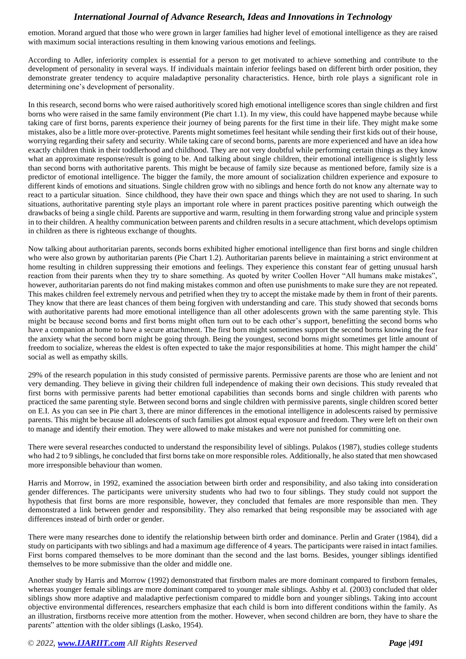emotion. Morand argued that those who were grown in larger families had higher level of emotional intelligence as they are raised with maximum social interactions resulting in them knowing various emotions and feelings.

According to Adler, inferiority complex is essential for a person to get motivated to achieve something and contribute to the development of personality in several ways. If individuals maintain inferior feelings based on different birth order position, they demonstrate greater tendency to acquire maladaptive personality characteristics. Hence, birth role plays a significant role in determining one's development of personality.

In this research, second borns who were raised authoritively scored high emotional intelligence scores than single children and first borns who were raised in the same family environment (Pie chart 1.1). In my view, this could have happened maybe because while taking care of first borns, parents experience their journey of being parents for the first time in their life. They might make some mistakes, also be a little more over-protective. Parents might sometimes feel hesitant while sending their first kids out of their house, worrying regarding their safety and security. While taking care of second borns, parents are more experienced and have an idea how exactly children think in their toddlerhood and childhood. They are not very doubtful while performing certain things as they know what an approximate response/result is going to be. And talking about single children, their emotional intelligence is slightly less than second borns with authoritative parents. This might be because of family size because as mentioned before, family size is a predictor of emotional intelligence. The bigger the family, the more amount of socialization children experience and exposure to different kinds of emotions and situations. Single children grow with no siblings and hence forth do not know any alternate way to react to a particular situation. Since childhood, they have their own space and things which they are not used to sharing. In such situations, authoritative parenting style plays an important role where in parent practices positive parenting which outweigh the drawbacks of being a single child. Parents are supportive and warm, resulting in them forwarding strong value and principle system in to their children. A healthy communication between parents and children results in a secure attachment, which develops optimism in children as there is righteous exchange of thoughts.

Now talking about authoritarian parents, seconds borns exhibited higher emotional intelligence than first borns and single children who were also grown by authoritarian parents (Pie Chart 1.2). Authoritarian parents believe in maintaining a strict environment at home resulting in children suppressing their emotions and feelings. They experience this constant fear of getting unusual harsh reaction from their parents when they try to share something. As quoted by writer Coollen Hover "All humans make mistakes", however, authoritarian parents do not find making mistakes common and often use punishments to make sure they are not repeated. This makes children feel extremely nervous and petrified when they try to accept the mistake made by them in front of their parents. They know that there are least chances of them being forgiven with understanding and care. This study showed that seconds borns with authoritative parents had more emotional intelligence than all other adolescents grown with the same parenting style. This might be because second borns and first borns might often turn out to be each other's support, benefitting the second borns who have a companion at home to have a secure attachment. The first born might sometimes support the second borns knowing the fear the anxiety what the second born might be going through. Being the youngest, second borns might sometimes get little amount of freedom to socialize, whereas the eldest is often expected to take the major responsibilities at home. This might hamper the child' social as well as empathy skills.

29% of the research population in this study consisted of permissive parents. Permissive parents are those who are lenient and not very demanding. They believe in giving their children full independence of making their own decisions. This study revealed that first borns with permissive parents had better emotional capabilities than seconds borns and single children with parents who practiced the same parenting style. Between second borns and single children with permissive parents, single children scored better on E.I. As you can see in Pie chart 3, there are minor differences in the emotional intelligence in adolescents raised by permissive parents. This might be because all adolescents of such families got almost equal exposure and freedom. They were left on their own to manage and identify their emotion. They were allowed to make mistakes and were not punished for committing one.

There were several researches conducted to understand the responsibility level of siblings. Pulakos (1987), studies college students who had 2 to 9 siblings, he concluded that first borns take on more responsible roles. Additionally, he also stated that men showcased more irresponsible behaviour than women.

Harris and Morrow, in 1992, examined the association between birth order and responsibility, and also taking into consideration gender differences. The participants were university students who had two to four siblings. They study could not support the hypothesis that first borns are more responsible, however, they concluded that females are more responsible than men. They demonstrated a link between gender and responsibility. They also remarked that being responsible may be associated with age differences instead of birth order or gender.

There were many researches done to identify the relationship between birth order and dominance. Perlin and Grater (1984), did a study on participants with two siblings and had a maximum age difference of 4 years. The participants were raised in intact families. First borns compared themselves to be more dominant than the second and the last borns. Besides, younger siblings identified themselves to be more submissive than the older and middle one.

Another study by Harris and Morrow (1992) demonstrated that firstborn males are more dominant compared to firstborn females, whereas younger female siblings are more dominant compared to younger male siblings. Ashby et al. (2003) concluded that older siblings show more adaptive and maladaptive perfectionism compared to middle born and younger siblings. Taking into account objective environmental differences, researchers emphasize that each child is born into different conditions within the family. As an illustration, firstborns receive more attention from the mother. However, when second children are born, they have to share the parents" attention with the older siblings (Lasko, 1954).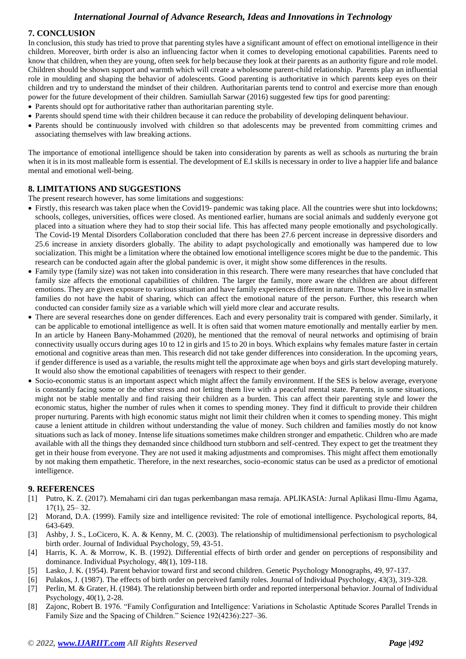## **7. CONCLUSION**

In conclusion, this study has tried to prove that parenting styles have a significant amount of effect on emotional intelligence in their children. Moreover, birth order is also an influencing factor when it comes to developing emotional capabilities. Parents need to know that children, when they are young, often seek for help because they look at their parents as an authority figure and role model. Children should be shown support and warmth which will create a wholesome parent-child relationship. Parents play an influential role in moulding and shaping the behavior of adolescents. Good parenting is authoritative in which parents keep eyes on their children and try to understand the mindset of their children. Authoritarian parents tend to control and exercise more than enough power for the future development of their children. Samiullah Sarwar (2016) suggested few tips for good parenting:

- Parents should opt for authoritative rather than authoritarian parenting style.
- Parents should spend time with their children because it can reduce the probability of developing delinquent behaviour.
- Parents should be continuously involved with children so that adolescents may be prevented from committing crimes and associating themselves with law breaking actions.

The importance of emotional intelligence should be taken into consideration by parents as well as schools as nurturing the brain when it is in its most malleable form is essential. The development of E.I skills is necessary in order to live a happier life and balance mental and emotional well-being.

#### **8. LIMITATIONS AND SUGGESTIONS**

The present research however, has some limitations and suggestions:

- Firstly, this research was taken place when the Covid19- pandemic was taking place. All the countries were shut into lockdowns; schools, colleges, universities, offices were closed. As mentioned earlier, humans are social animals and suddenly everyone got placed into a situation where they had to stop their social life. This has affected many people emotionally and psychologically. The Covid-19 Mental Disorders Collaboration concluded that there has been 27.6 percent increase in depressive disorders and 25.6 increase in anxiety disorders globally. The ability to adapt psychologically and emotionally was hampered due to low socialization. This might be a limitation where the obtained low emotional intelligence scores might be due to the pandemic. This research can be conducted again after the global pandemic is over, it might show some differences in the results.
- Family type (family size) was not taken into consideration in this research. There were many researches that have concluded that family size affects the emotional capabilities of children. The larger the family, more aware the children are about different emotions. They are given exposure to various situation and have family experiences different in nature. Those who live in smaller families do not have the habit of sharing, which can affect the emotional nature of the person. Further, this research when conducted can consider family size as a variable which will yield more clear and accurate results.
- There are several researches done on gender differences. Each and every personality trait is compared with gender. Similarly, it can be applicable to emotional intelligence as well. It is often said that women mature emotionally and mentally earlier by men. In an article by Haneen Bany-Mohammed (2020), he mentioned that the removal of neural networks and optimising of brain connectivity usually occurs during ages 10 to 12 in girls and 15 to 20 in boys. Which explains why females mature faster in certain emotional and cognitive areas than men. This research did not take gender differences into consideration. In the upcoming years, if gender difference is used as a variable, the results might tell the approximate age when boys and girls start developing maturely. It would also show the emotional capabilities of teenagers with respect to their gender.
- Socio-economic status is an important aspect which might affect the family environment. If the SES is below average, everyone is constantly facing some or the other stress and not letting them live with a peaceful mental state. Parents, in some situations, might not be stable mentally and find raising their children as a burden. This can affect their parenting style and lower the economic status, higher the number of rules when it comes to spending money. They find it difficult to provide their children proper nurturing. Parents with high economic status might not limit their children when it comes to spending money. This might cause a lenient attitude in children without understanding the value of money. Such children and families mostly do not know situations such as lack of money. Intense life situations sometimes make children stronger and empathetic. Children who are made available with all the things they demanded since childhood turn stubborn and self-centred. They expect to get the treatment they get in their house from everyone. They are not used it making adjustments and compromises. This might affect them emotionally by not making them empathetic. Therefore, in the next researches, socio-economic status can be used as a predictor of emotional intelligence.

## **9. REFERENCES**

- [1] Putro, K. Z. (2017). Memahami ciri dan tugas perkembangan masa remaja. APLIKASIA: Jurnal Aplikasi Ilmu-Ilmu Agama, 17(1), 25– 32.
- [2] Morand, D.A. (1999). Family size and intelligence revisited: The role of emotional intelligence. Psychological reports, 84, 643-649.
- [3] Ashby, J. S., LoCicero, K. A. & Kenny, M. C. (2003). The relationship of multidimensional perfectionism to psychological birth order. Journal of Individual Psychology, 59, 43-51.
- [4] Harris, K. A. & Morrow, K. B. (1992). Differential effects of birth order and gender on perceptions of responsibility and dominance. Individual Psychology, 48(1), 109-118.
- [5] Lasko, J. K. (1954). Parent behavior toward first and second children. Genetic Psychology Monographs, 49, 97-137.
- [6] Pulakos, J. (1987). The effects of birth order on perceived family roles. Journal of Individual Psychology, 43(3), 319-328.
- [7] Perlin, M. & Grater, H. (1984). The relationship between birth order and reported interpersonal behavior. Journal of Individual Psychology, 40(1), 2-28.
- [8] Zajonc, Robert B. 1976. "Family Configuration and Intelligence: Variations in Scholastic Aptitude Scores Parallel Trends in Family Size and the Spacing of Children." Science 192(4236):227–36.